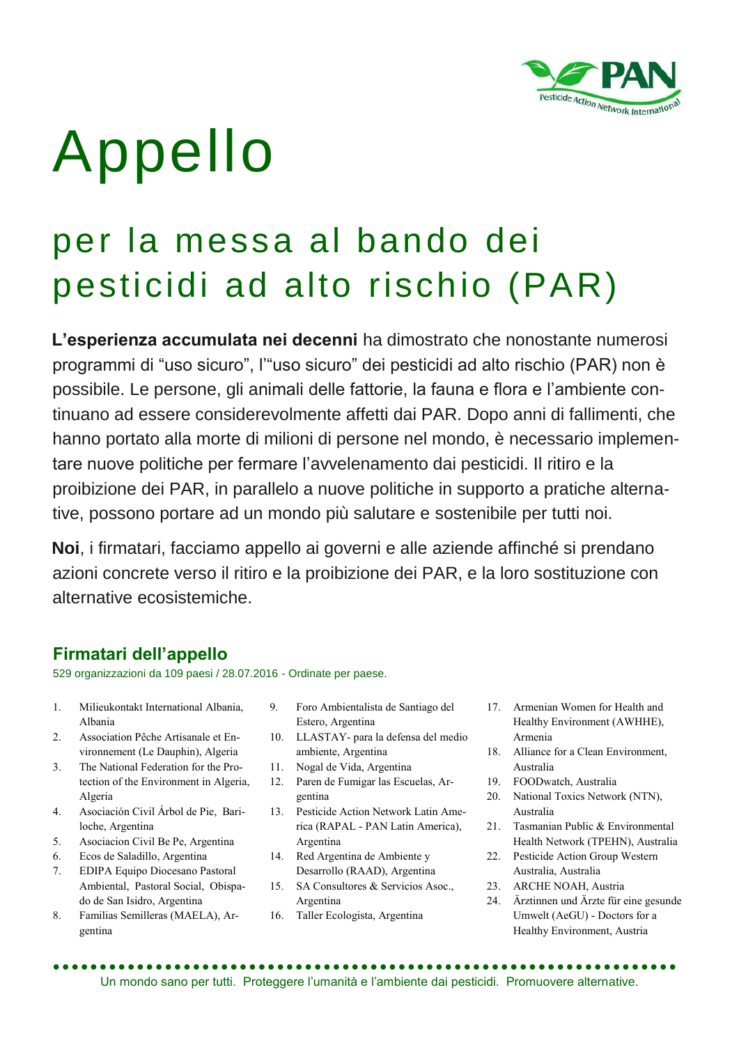

# Appello

# per la messa al bando dei pesticidi ad alto rischio (PAR)

**L'esperienza accumulata nei decenni** ha dimostrato che nonostante numerosi programmi di "uso sicuro", l'"uso sicuro" dei pesticidi ad alto rischio (PAR) non è possibile. Le persone, gli animali delle fattorie, la fauna e flora e l'ambiente continuano ad essere considerevolmente affetti dai PAR. Dopo anni di fallimenti, che hanno portato alla morte di milioni di persone nel mondo, è necessario implementare nuove politiche per fermare l'avvelenamento dai pesticidi. Il ritiro e la proibizione dei PAR, in parallelo a nuove politiche in supporto a pratiche alternative, possono portare ad un mondo più salutare e sostenibile per tutti noi.

**Noi**, i firmatari, facciamo appello ai governi e alle aziende affinché si prendano azioni concrete verso il ritiro e la proibizione dei PAR, e la loro sostituzione con alternative ecosistemiche.

## **Firmatari dell'appello**

529 organizzazioni da 109 paesi / 28.07.2016 - Ordinate per paese.

- 1. Milieukontakt International Albania, Albania
- 2. Association Pêche Artisanale et Environnement (Le Dauphin), Algeria
- 3. The National Federation for the Protection of the Environment in Algeria, Algeria
- 4. Asociación Civil Árbol de Pie, Bariloche, Argentina
- 5. Asociacion Civil Be Pe, Argentina
- 6. Ecos de Saladillo, Argentina
- 7. EDIPA Equipo Diocesano Pastoral Ambiental, Pastoral Social, Obispado de San Isidro, Argentina
- 8. Familias Semilleras (MAELA), Argentina
- 9. Foro Ambientalista de Santiago del Estero, Argentina
- 10. LLASTAY- para la defensa del medio ambiente, Argentina
- 11. Nogal de Vida, Argentina
- 12. Paren de Fumigar las Escuelas, Argentina
- 13. Pesticide Action Network Latin America (RAPAL - PAN Latin America), Argentina
- 14. Red Argentina de Ambiente y Desarrollo (RAAD), Argentina
- 15. SA Consultores & Servicios Asoc., Argentina
- 16. Taller Ecologista, Argentina
- 17. Armenian Women for Health and Healthy Environment (AWHHE), Armenia
- 18. Alliance for a Clean Environment, Australia
- 19. FOODwatch, Australia
- 20. National Toxics Network (NTN), Australia
- 21. Tasmanian Public & Environmental Health Network (TPEHN), Australia
- 22. Pesticide Action Group Western Australia, Australia
- 23. ARCHE NOAH, Austria
- 24. Ärztinnen und Ärzte für eine gesunde Umwelt (AeGU) - Doctors for a Healthy Environment, Austria

 Un mondo sano per tutti. Proteggere l'umanità e l'ambiente dai pesticidi. Promuovere alternative.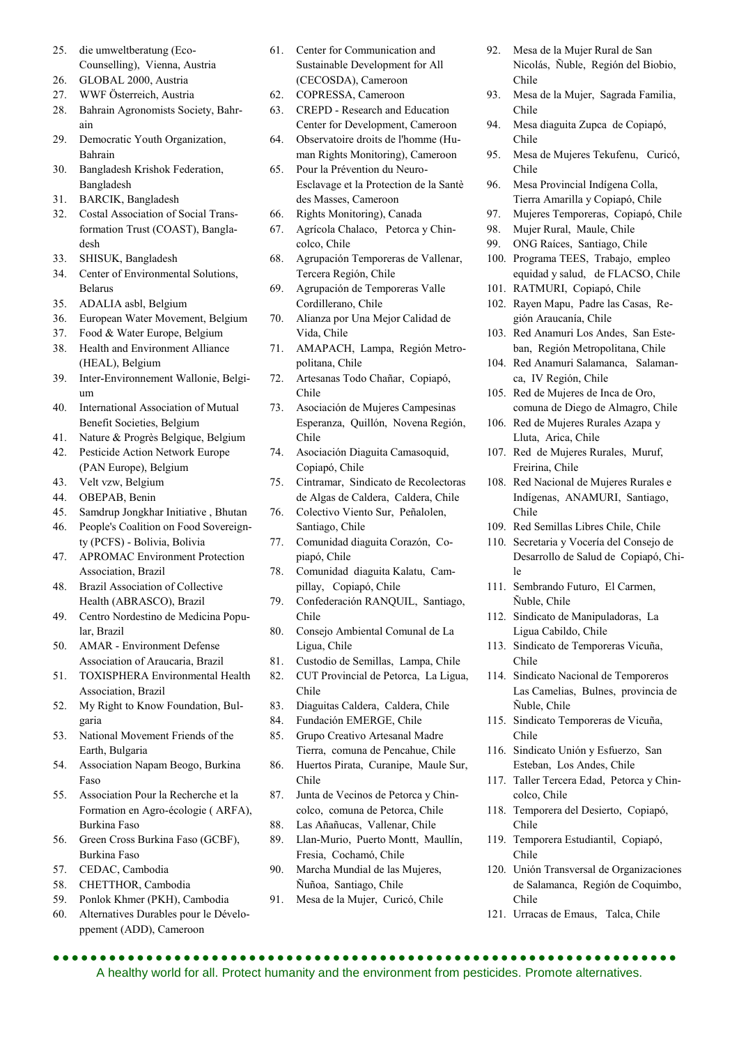- 25. die umweltberatung (Eco-Counselling), Vienna, Austria
- 26. GLOBAL 2000, Austria
- 27. WWF Österreich, Austria
- 28. Bahrain Agronomists Society, Bahrain
- 29. Democratic Youth Organization, Bahrain
- 30. Bangladesh Krishok Federation, Bangladesh
- 31. BARCIK, Bangladesh
- 32. Costal Association of Social Transformation Trust (COAST), Bangladesh
- 33. SHISUK, Bangladesh
- 34. Center of Environmental Solutions, Belarus
- 35. ADALIA asbl, Belgium
- 36. European Water Movement, Belgium
- 37. Food & Water Europe, Belgium 38. Health and Environment Alliance
- (HEAL), Belgium
- 39. Inter-Environnement Wallonie, Belgium
- 40. International Association of Mutual Benefit Societies, Belgium
- 41. Nature & Progrès Belgique, Belgium
- 42. Pesticide Action Network Europe (PAN Europe), Belgium
- 43. Velt vzw, Belgium
- 44. OBEPAB, Benin
- 45. Samdrup Jongkhar Initiative , Bhutan
- 46. People's Coalition on Food Sovereignty (PCFS) - Bolivia, Bolivia
- 47. APROMAC Environment Protection Association, Brazil
- 48. Brazil Association of Collective Health (ABRASCO), Brazil
- 49. Centro Nordestino de Medicina Popular, Brazil
- 50. AMAR Environment Defense Association of Araucaria, Brazil
- 51. TOXISPHERA Environmental Health Association, Brazil
- 52. My Right to Know Foundation, Bulgaria
- 53. National Movement Friends of the Earth, Bulgaria
- 54. Association Napam Beogo, Burkina Faso
- 55. Association Pour la Recherche et la Formation en Agro-écologie ( ARFA), Burkina Faso
- 56. Green Cross Burkina Faso (GCBF), Burkina Faso
- 57. CEDAC, Cambodia
- 58. CHETTHOR, Cambodia
- 59. Ponlok Khmer (PKH), Cambodia
- 60. Alternatives Durables pour le Développement (ADD), Cameroon
- 61. Center for Communication and Sustainable Development for All (CECOSDA), Cameroon
- 62. COPRESSA, Cameroon
- 63. CREPD Research and Education Center for Development, Cameroon
- 64. Observatoire droits de l'homme (Human Rights Monitoring), Cameroon
- 65. Pour la Prévention du Neuro-Esclavage et la Protection de la Santè des Masses, Cameroon
- 66. Rights Monitoring), Canada
- 67. Agrícola Chalaco, Petorca y Chincolco, Chile
- 68. Agrupación Temporeras de Vallenar, Tercera Región, Chile
- 69. Agrupación de Temporeras Valle Cordillerano, Chile
- 70. Alianza por Una Mejor Calidad de Vida, Chile
- 71. AMAPACH, Lampa, Región Metropolitana, Chile
- 72. Artesanas Todo Chañar, Copiapó, Chile
- 73. Asociación de Mujeres Campesinas Esperanza, Quillón, Novena Región, Chile
- 74. Asociación Diaguita Camasoquid, Copiapó, Chile
- 75. Cintramar, Sindicato de Recolectoras de Algas de Caldera, Caldera, Chile
- 76. Colectivo Viento Sur, Peñalolen, Santiago, Chile
- 77. Comunidad diaguita Corazón, Copiapó, Chile
- 78. Comunidad diaguita Kalatu, Campillay, Copiapó, Chile
- 79. Confederación RANQUIL, Santiago, Chile
- 80. Consejo Ambiental Comunal de La Ligua, Chile
- 81. Custodio de Semillas, Lampa, Chile
- 82. CUT Provincial de Petorca, La Ligua, Chile
- 83. Diaguitas Caldera, Caldera, Chile
- 84. Fundación EMERGE, Chile
- 85. Grupo Creativo Artesanal Madre Tierra, comuna de Pencahue, Chile
- 86. Huertos Pirata, Curanipe, Maule Sur, Chile
- 87. Junta de Vecinos de Petorca y Chincolco, comuna de Petorca, Chile
- 88. Las Añañucas, Vallenar, Chile
- 89. Llan-Murio, Puerto Montt, Maullín, Fresia, Cochamó, Chile
- 90. Marcha Mundial de las Mujeres, Ñuñoa, Santiago, Chile
- 91. Mesa de la Mujer, Curicó, Chile
- 92. Mesa de la Mujer Rural de San Nicolás, Ñuble, Región del Biobio, Chile
- 93. Mesa de la Mujer, Sagrada Familia, Chile
- 94. Mesa diaguita Zupca de Copiapó, Chile
- 95. Mesa de Mujeres Tekufenu, Curicó, Chile
- 96. Mesa Provincial Indígena Colla, Tierra Amarilla y Copiapó, Chile
- 97. Mujeres Temporeras, Copiapó, Chile
- 98. Mujer Rural, Maule, Chile
- 99. ONG Raíces, Santiago, Chile
- 100. Programa TEES, Trabajo, empleo equidad y salud, de FLACSO, Chile
- 101. RATMURI, Copiapó, Chile
- 102. Rayen Mapu, Padre las Casas, Región Araucanía, Chile
- 103. Red Anamuri Los Andes, San Esteban, Región Metropolitana, Chile
- 104. Red Anamuri Salamanca, Salamanca, IV Región, Chile
- 105. Red de Mujeres de Inca de Oro, comuna de Diego de Almagro, Chile
- 106. Red de Mujeres Rurales Azapa y Lluta, Arica, Chile
- 107. Red de Mujeres Rurales, Muruf, Freirina, Chile
- 108. Red Nacional de Mujeres Rurales e Indígenas, ANAMURI, Santiago, Chile
- 109. Red Semillas Libres Chile, Chile
- 110. Secretaria y Vocería del Consejo de Desarrollo de Salud de Copiapó, Chile
- 111. Sembrando Futuro, El Carmen, Ñuble, Chile
- 112. Sindicato de Manipuladoras, La Ligua Cabildo, Chile
- 113. Sindicato de Temporeras Vicuña, Chile
- 114. Sindicato Nacional de Temporeros Las Camelias, Bulnes, provincia de Ñuble, Chile
- 115. Sindicato Temporeras de Vicuña, Chile
- 116. Sindicato Unión y Esfuerzo, San Esteban, Los Andes, Chile
- 117. Taller Tercera Edad, Petorca y Chincolco, Chile
- 118. Temporera del Desierto, Copiapó, Chile
- 119. Temporera Estudiantil, Copiapó, Chile
- 120. Unión Transversal de Organizaciones de Salamanca, Región de Coquimbo, Chile
- 121. Urracas de Emaus, Talca, Chile

 A healthy world for all. Protect humanity and the environment from pesticides. Promote alternatives.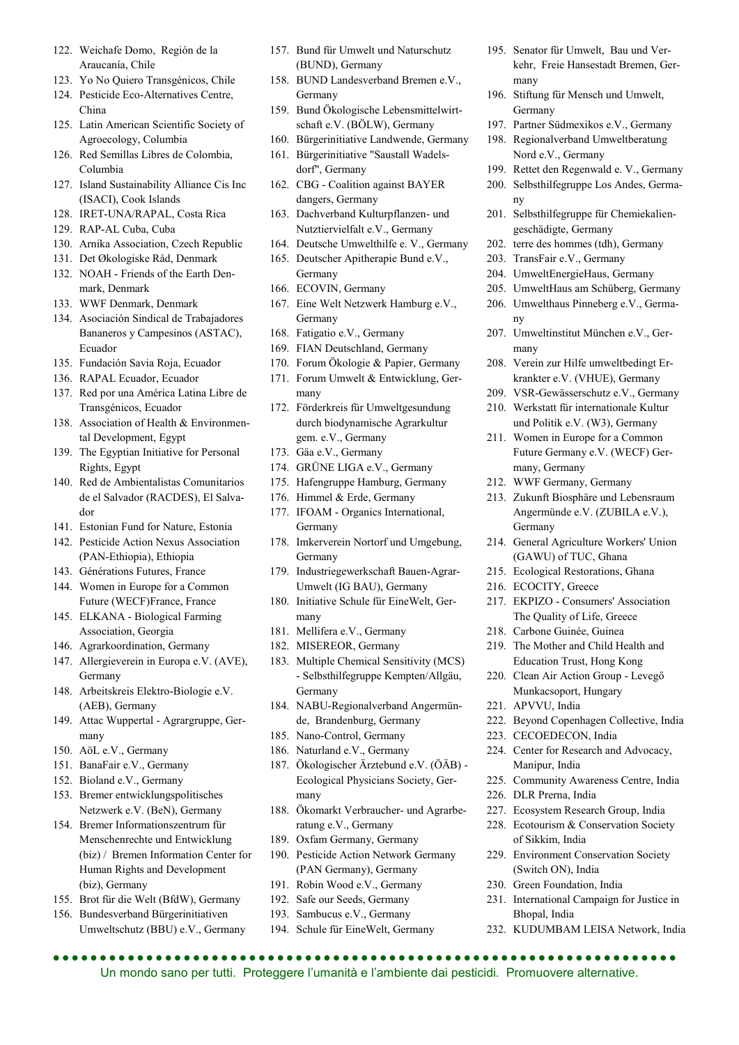- 122. Weichafe Domo, Región de la Araucanía, Chile
- 123. Yo No Quiero Transgénicos, Chile
- 124. Pesticide Eco-Alternatives Centre, China
- 125. Latin American Scientific Society of Agroecology, Columbia
- 126. Red Semillas Libres de Colombia, Columbia
- 127. Island Sustainability Alliance Cis Inc (ISACI), Cook Islands
- 128. IRET-UNA/RAPAL, Costa Rica
- 129. RAP-AL Cuba, Cuba
- 130. Arnika Association, Czech Republic
- 131. Det Økologiske Råd, Denmark
- 132. NOAH Friends of the Earth Denmark, Denmark
- 133. WWF Denmark, Denmark
- 134. Asociación Sindical de Trabajadores Bananeros y Campesinos (ASTAC), Ecuador
- 135. Fundación Savia Roja, Ecuador
- 136. RAPAL Ecuador, Ecuador
- 137. Red por una América Latina Libre de Transgénicos, Ecuador
- 138. Association of Health & Environmental Development, Egypt
- 139. The Egyptian Initiative for Personal Rights, Egypt
- 140. Red de Ambientalistas Comunitarios de el Salvador (RACDES), El Salvador
- 141. Estonian Fund for Nature, Estonia
- 142. Pesticide Action Nexus Association (PAN-Ethiopia), Ethiopia
- 143. Générations Futures, France
- 144. Women in Europe for a Common Future (WECF)France, France
- 145. ELKANA Biological Farming Association, Georgia
- 146. Agrarkoordination, Germany
- 147. Allergieverein in Europa e.V. (AVE), Germany
- 148. Arbeitskreis Elektro-Biologie e.V. (AEB), Germany
- 149. Attac Wuppertal Agrargruppe, Germany
- 150. AöL e.V., Germany
- 151. BanaFair e.V., Germany
- 152. Bioland e.V., Germany
- 153. Bremer entwicklungspolitisches Netzwerk e.V. (BeN), Germany
- 154. Bremer Informationszentrum für Menschenrechte und Entwicklung (biz) / Bremen Information Center for Human Rights and Development (biz), Germany
- 155. Brot für die Welt (BfdW), Germany
- 156. Bundesverband Bürgerinitiativen Umweltschutz (BBU) e.V., Germany
- 157. Bund für Umwelt und Naturschutz (BUND), Germany
- 158. BUND Landesverband Bremen e.V., Germany
- 159. Bund Ökologische Lebensmittelwirtschaft e.V. (BÖLW), Germany
- 160. Bürgerinitiative Landwende, Germany
- 161. Bürgerinitiative "Saustall Wadels-
- dorf", Germany 162. CBG - Coalition against BAYER dangers, Germany
- 163. Dachverband Kulturpflanzen- und Nutztiervielfalt e.V., Germany
- 164. Deutsche Umwelthilfe e. V., Germany
- 165. Deutscher Apitherapie Bund e.V., Germany
- 166. ECOVIN, Germany
- 167. Eine Welt Netzwerk Hamburg e.V., Germany
- 168. Fatigatio e.V., Germany
- 169. FIAN Deutschland, Germany
- 170. Forum Ökologie & Papier, Germany
- 171. Forum Umwelt & Entwicklung, Germany
- 172. Förderkreis für Umweltgesundung durch biodynamische Agrarkultur gem. e.V., Germany
- 173. Gäa e.V., Germany
- 174. GRÜNE LIGA e.V., Germany
- 175. Hafengruppe Hamburg, Germany
- 176. Himmel & Erde, Germany
- 177. IFOAM Organics International, Germany
- 178. Imkerverein Nortorf und Umgebung, Germany
- 179. Industriegewerkschaft Bauen-Agrar-Umwelt (IG BAU), Germany
- 180. Initiative Schule für EineWelt, Germany
- 181. Mellifera e.V., Germany
- 182. MISEREOR, Germany
- 183. Multiple Chemical Sensitivity (MCS) - Selbsthilfegruppe Kempten/Allgäu, Germany
- 184. NABU-Regionalverband Angermünde, Brandenburg, Germany
- 185. Nano-Control, Germany
- 186. Naturland e.V., Germany
- 187. Ökologischer Ärztebund e.V. (ÖÄB) Ecological Physicians Society, Germany
- 188. Ökomarkt Verbraucher- und Agrarberatung e.V., Germany
- 189. Oxfam Germany, Germany
- 190. Pesticide Action Network Germany (PAN Germany), Germany
- 191. Robin Wood e.V., Germany
- 192. Safe our Seeds, Germany
- 193. Sambucus e.V., Germany
- 194. Schule für EineWelt, Germany

 Un mondo sano per tutti. Proteggere l'umanità e l'ambiente dai pesticidi. Promuovere alternative.

- 195. Senator für Umwelt, Bau und Verkehr, Freie Hansestadt Bremen, Germany
- 196. Stiftung für Mensch und Umwelt, Germany
- 197. Partner Südmexikos e.V., Germany
	- 198. Regionalverband Umweltberatung Nord e.V., Germany
- 199. Rettet den Regenwald e. V., Germany
- 200. Selbsthilfegruppe Los Andes, Germany
- 201. Selbsthilfegruppe für Chemiekaliengeschädigte, Germany
- 202. terre des hommes (tdh), Germany
- 203. TransFair e.V., Germany
- 204. UmweltEnergieHaus, Germany
- 205. UmweltHaus am Schüberg, Germany
- 206. Umwelthaus Pinneberg e.V., Germany
- 207. Umweltinstitut München e.V., Germany
- 208. Verein zur Hilfe umweltbedingt Erkrankter e.V. (VHUE), Germany
- 209. VSR-Gewässerschutz e.V., Germany
- 210. Werkstatt für internationale Kultur und Politik e.V. (W3), Germany
- 211. Women in Europe for a Common Future Germany e.V. (WECF) Germany, Germany
- 212. WWF Germany, Germany
- 213. Zukunft Biosphäre und Lebensraum Angermünde e.V. (ZUBILA e.V.), Germany
- 214. General Agriculture Workers' Union (GAWU) of TUC, Ghana
- 215. Ecological Restorations, Ghana
- 216. ECOCITY, Greece
- 217. EKPIZO Consumers' Association The Quality of Life, Greece
- 218. Carbone Guinée, Guinea

223. CECOEDECON, India

Manipur, India

226. DLR Prerna, India

of Sikkim, India

Bhopal, India

(Switch ON), India 230. Green Foundation, India

- 219. The Mother and Child Health and Education Trust, Hong Kong
- 220. Clean Air Action Group Levegő Munkacsoport, Hungary

222. Beyond Copenhagen Collective, India

224. Center for Research and Advocacy,

225. Community Awareness Centre, India

227. Ecosystem Research Group, India 228. Ecotourism & Conservation Society

229. Environment Conservation Society

231. International Campaign for Justice in

232. KUDUMBAM LEISA Network, India

221. APVVU, India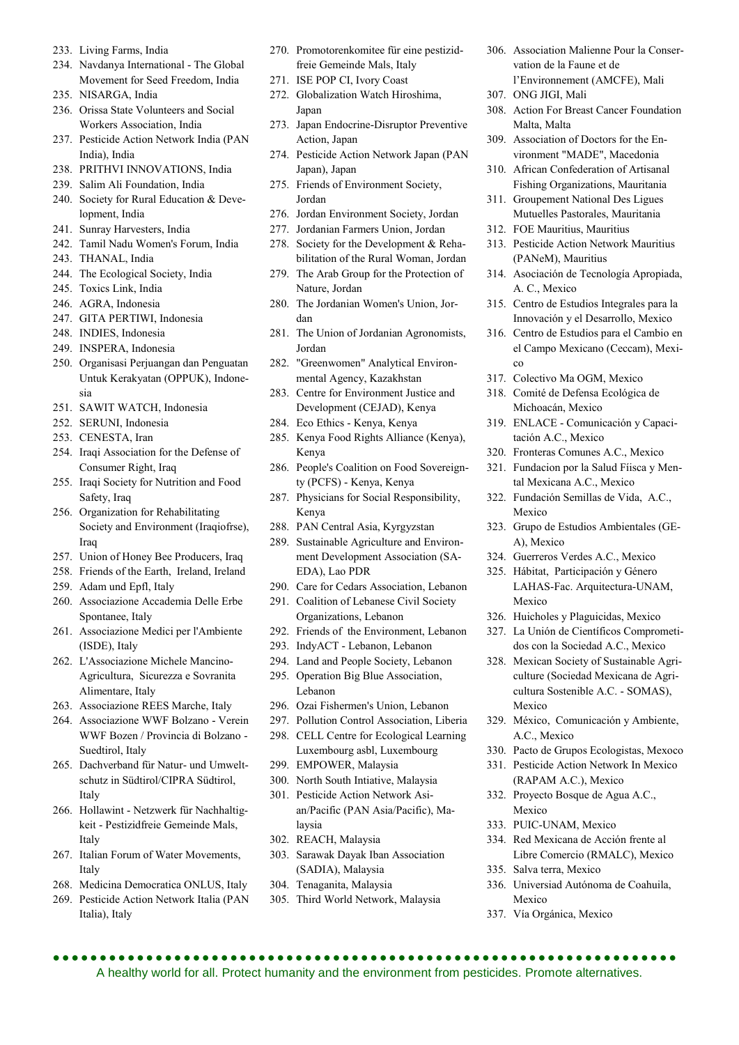- 233. Living Farms, India
- 234. Navdanya International The Global Movement for Seed Freedom, India
- 235. NISARGA, India
- 236. Orissa State Volunteers and Social Workers Association, India
- 237. Pesticide Action Network India (PAN India), India
- 238. PRITHVI INNOVATIONS, India
- 239. Salim Ali Foundation, India
- 240. Society for Rural Education & Development, India
- 241. Sunray Harvesters, India
- 242. Tamil Nadu Women's Forum, India
- 243. THANAL, India
- 244. The Ecological Society, India
- 245. Toxics Link, India
- 246. AGRA, Indonesia
- 247. GITA PERTIWI, Indonesia
- 248. INDIES, Indonesia
- 249. INSPERA, Indonesia
- 250. Organisasi Perjuangan dan Penguatan Untuk Kerakyatan (OPPUK), Indonesia
- 251. SAWIT WATCH, Indonesia
- 252. SERUNI, Indonesia
- 253. CENESTA, Iran
- 254. Iraqi Association for the Defense of Consumer Right, Iraq
- 255. Iraqi Society for Nutrition and Food Safety, Iraq
- 256. Organization for Rehabilitating Society and Environment (Iraqiofrse), Iraq
- 257. Union of Honey Bee Producers, Iraq
- 258. Friends of the Earth, Ireland, Ireland
- 259. Adam und Epfl, Italy
- 260. Associazione Accademia Delle Erbe Spontanee, Italy
- 261. Associazione Medici per l'Ambiente (ISDE), Italy
- 262. L'Associazione Michele Mancino-Agricultura, Sicurezza e Sovranita Alimentare, Italy
- 263. Associazione REES Marche, Italy
- 264. Associazione WWF Bolzano Verein WWF Bozen / Provincia di Bolzano - Suedtirol, Italy
- 265. Dachverband für Natur- und Umweltschutz in Südtirol/CIPRA Südtirol, Italy
- 266. Hollawint Netzwerk für Nachhaltigkeit - Pestizidfreie Gemeinde Mals, Italy
- 267. Italian Forum of Water Movements, Italy
- 268. Medicina Democratica ONLUS, Italy
- 269. Pesticide Action Network Italia (PAN Italia), Italy
- 270. Promotorenkomitee für eine pestizidfreie Gemeinde Mals, Italy
- 271. ISE POP CI, Ivory Coast
- 272. Globalization Watch Hiroshima, Japan
- 273. Japan Endocrine-Disruptor Preventive Action, Japan
- 274. Pesticide Action Network Japan (PAN Japan), Japan
- 275. Friends of Environment Society, Jordan
- 276. Jordan Environment Society, Jordan
- 277. Jordanian Farmers Union, Jordan
- 278. Society for the Development & Rehabilitation of the Rural Woman, Jordan
- 279. The Arab Group for the Protection of Nature, Jordan
- 280. The Jordanian Women's Union, Jordan
- 281. The Union of Jordanian Agronomists, Jordan
- 282. "Greenwomen" Analytical Environmental Agency, Kazakhstan
- 283. Centre for Environment Justice and Development (CEJAD), Kenya
- 284. Eco Ethics Kenya, Kenya
- 285. Kenya Food Rights Alliance (Kenya), Kenya
- 286. People's Coalition on Food Sovereignty (PCFS) - Kenya, Kenya
- 287. Physicians for Social Responsibility, Kenya
- 288. PAN Central Asia, Kyrgyzstan
- 289. Sustainable Agriculture and Environment Development Association (SA-EDA), Lao PDR
- 290. Care for Cedars Association, Lebanon
- 291. Coalition of Lebanese Civil Society Organizations, Lebanon
- 292. Friends of the Environment, Lebanon
- 293. IndyACT Lebanon, Lebanon
- 294. Land and People Society, Lebanon
- 295. Operation Big Blue Association, Lebanon
- 296. Ozai Fishermen's Union, Lebanon
- 297. Pollution Control Association, Liberia 298. CELL Centre for Ecological Learning Luxembourg asbl, Luxembourg
- 299. EMPOWER, Malaysia
- 300. North South Intiative, Malaysia
- 301. Pesticide Action Network Asian/Pacific (PAN Asia/Pacific), Malaysia
- 302. REACH, Malaysia
- 303. Sarawak Dayak Iban Association (SADIA), Malaysia
- 304. Tenaganita, Malaysia

305. Third World Network, Malaysia

A healthy world for all. Protect humanity and the environment from pesticides. Promote alternatives.

- 306. Association Malienne Pour la Conservation de la Faune et de l'Environnement (AMCFE), Mali
- 307. ONG JIGI, Mali
- 308. Action For Breast Cancer Foundation Malta, Malta
- 309. Association of Doctors for the Environment "MADE", Macedonia
- 310. African Confederation of Artisanal Fishing Organizations, Mauritania
- 311. Groupement National Des Ligues Mutuelles Pastorales, Mauritania
- 312. FOE Mauritius, Mauritius
- 313. Pesticide Action Network Mauritius (PANeM), Mauritius
- 314. Asociación de Tecnología Apropiada, A. C., Mexico
- 315. Centro de Estudios Integrales para la Innovación y el Desarrollo, Mexico
- 316. Centro de Estudios para el Cambio en el Campo Mexicano (Ceccam), Mexico
- 317. Colectivo Ma OGM, Mexico
- 318. Comité de Defensa Ecológica de Michoacán, Mexico
- 319. ENLACE Comunicación y Capacitación A.C., Mexico
- 320. Fronteras Comunes A.C., Mexico
- 321. Fundacion por la Salud Fíisca y Mental Mexicana A.C., Mexico
- 322. Fundación Semillas de Vida, A.C., Mexico
- 323. Grupo de Estudios Ambientales (GE-A), Mexico
- 324. Guerreros Verdes A.C., Mexico
- 325. Hábitat, Participación y Género LAHAS-Fac. Arquitectura-UNAM, Mexico
- 326. Huicholes y Plaguicidas, Mexico
- 327. La Unión de Científicos Comprometidos con la Sociedad A.C., Mexico
- 328. Mexican Society of Sustainable Agriculture (Sociedad Mexicana de Agricultura Sostenible A.C. - SOMAS), Mexico
- 329. México, Comunicación y Ambiente, A.C., Mexico
- 330. Pacto de Grupos Ecologistas, Mexoco
- 331. Pesticide Action Network In Mexico (RAPAM A.C.), Mexico
- 332. Proyecto Bosque de Agua A.C., Mexico

334. Red Mexicana de Acción frente al Libre Comercio (RMALC), Mexico

336. Universiad Autónoma de Coahuila,

333. PUIC-UNAM, Mexico

335. Salva terra, Mexico

337. Vía Orgánica, Mexico

Mexico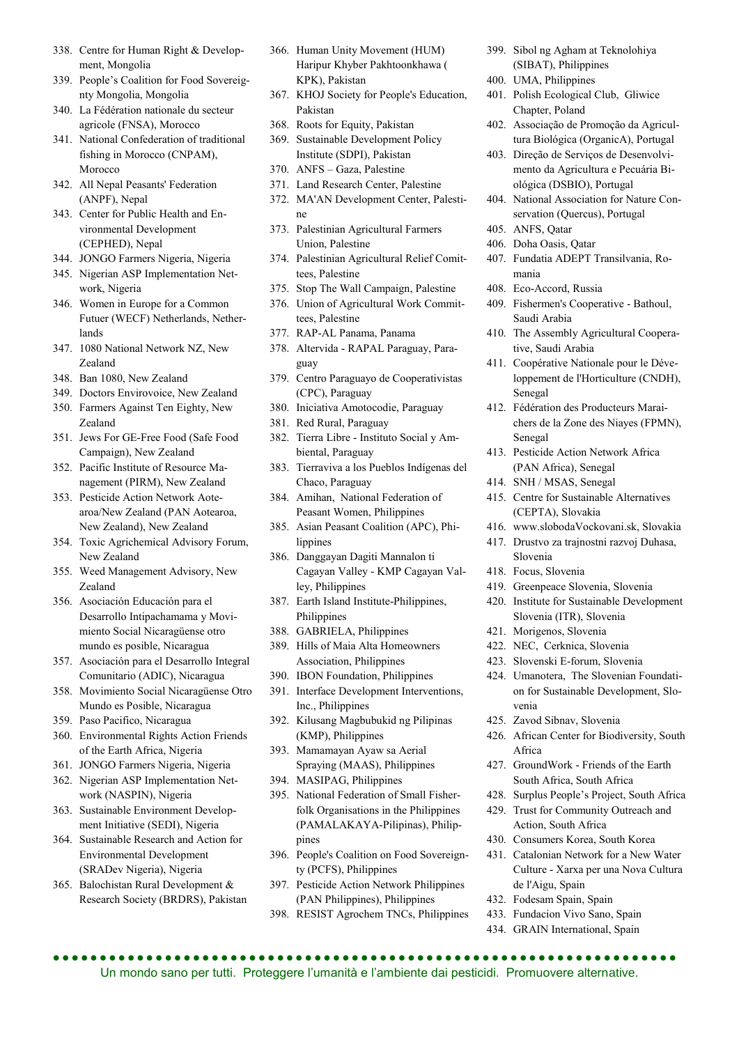- 338. Centre for Human Right & Development, Mongolia
- 339. People's Coalition for Food Sovereignty Mongolia, Mongolia
- 340. La Fédération nationale du secteur agricole (FNSA), Morocco
- 341. National Confederation of traditional fishing in Morocco (CNPAM), Morocco
- 342. All Nepal Peasants' Federation (ANPF), Nepal
- 343. Center for Public Health and Environmental Development (CEPHED), Nepal
- 344. JONGO Farmers Nigeria, Nigeria
- 345. Nigerian ASP Implementation Network, Nigeria
- 346. Women in Europe for a Common Futuer (WECF) Netherlands, Netherlands
- 347. 1080 National Network NZ, New Zealand
- 348. Ban 1080, New Zealand
- 349. Doctors Envirovoice, New Zealand
- 350. Farmers Against Ten Eighty, New Zealand
- 351. Jews For GE-Free Food (Safe Food Campaign), New Zealand
- 352. Pacific Institute of Resource Management (PIRM), New Zealand
- 353. Pesticide Action Network Aotearoa/New Zealand (PAN Aotearoa, New Zealand), New Zealand
- 354. Toxic Agrichemical Advisory Forum, New Zealand
- 355. Weed Management Advisory, New Zealand
- 356. Asociación Educación para el Desarrollo Intipachamama y Movimiento Social Nicaragüense otro mundo es posible, Nicaragua
- 357. Asociación para el Desarrollo Integral Comunitario (ADIC), Nicaragua
- 358. Movimiento Social Nicaragüense Otro Mundo es Posible, Nicaragua
- 359. Paso Pacifico, Nicaragua
- 360. Environmental Rights Action Friends of the Earth Africa, Nigeria
- 361. JONGO Farmers Nigeria, Nigeria
- 362. Nigerian ASP Implementation Network (NASPIN), Nigeria
- 363. Sustainable Environment Development Initiative (SEDI), Nigeria
- 364. Sustainable Research and Action for Environmental Development (SRADev Nigeria), Nigeria
- 365. Balochistan Rural Development & Research Society (BRDRS), Pakistan
- 366. Human Unity Movement (HUM) Haripur Khyber Pakhtoonkhawa ( KPK), Pakistan
- 367. KHOJ Society for People's Education, Pakistan
- 368. Roots for Equity, Pakistan
- 369. Sustainable Development Policy Institute (SDPI), Pakistan
- 370. ANFS Gaza, Palestine
- 371. Land Research Center, Palestine
- 372. MA'AN Development Center, Palestine
- 373. Palestinian Agricultural Farmers Union, Palestine
- 374. Palestinian Agricultural Relief Comittees, Palestine
- 375. Stop The Wall Campaign, Palestine
- 376. Union of Agricultural Work Committees, Palestine
- 377. RAP-AL Panama, Panama
- 378. Altervida RAPAL Paraguay, Paraguay
- 379. Centro Paraguayo de Cooperativistas (CPC), Paraguay
- 380. Iniciativa Amotocodie, Paraguay
- 381. Red Rural, Paraguay
- 382. Tierra Libre Instituto Social y Ambiental, Paraguay
- 383. Tierraviva a los Pueblos Indígenas del Chaco, Paraguay
- 384. Amihan, National Federation of Peasant Women, Philippines
- 385. Asian Peasant Coalition (APC), Philippines
- 386. Danggayan Dagiti Mannalon ti Cagayan Valley - KMP Cagayan Valley, Philippines
- 387. Earth Island Institute-Philippines, Philippines
- 388. GABRIELA, Philippines
- 389. Hills of Maia Alta Homeowners Association, Philippines
- 390. IBON Foundation, Philippines
- 391. Interface Development Interventions, Inc., Philippines
- 392. Kilusang Magbubukid ng Pilipinas (KMP), Philippines
- 393. Mamamayan Ayaw sa Aerial Spraying (MAAS), Philippines
- 394. MASIPAG, Philippines
- 395. National Federation of Small Fisherfolk Organisations in the Philippines (PAMALAKAYA-Pilipinas), Philippines
- 396. People's Coalition on Food Sovereignty (PCFS), Philippines
- 397. Pesticide Action Network Philippines (PAN Philippines), Philippines
- 398. RESIST Agrochem TNCs, Philippines
- 399. Sibol ng Agham at Teknolohiya (SIBAT), Philippines
- 400. UMA, Philippines
- 401. Polish Ecological Club, Gliwice Chapter, Poland
- 402. Associação de Promoção da Agricultura Biológica (OrganicA), Portugal
- 403. Direção de Serviços de Desenvolvimento da Agricultura e Pecuária Biológica (DSBIO), Portugal
- 404. National Association for Nature Conservation (Quercus), Portugal
- 405. ANFS, Qatar
- 406. Doha Oasis, Qatar
- 407. Fundatia ADEPT Transilvania, Romania
- 408. Eco-Accord, Russia
- 409. Fishermen's Cooperative Bathoul, Saudi Arabia
- 410. The Assembly Agricultural Cooperative, Saudi Arabia
- 411. Coopérative Nationale pour le Développement de l'Horticulture (CNDH), Senegal
- 412. Fédération des Producteurs Maraichers de la Zone des Niayes (FPMN), Senegal
- 413. Pesticide Action Network Africa (PAN Africa), Senegal
- 414. SNH / MSAS, Senegal
- 415. Centre for Sustainable Alternatives (CEPTA), Slovakia
- 416. www.slobodaVockovani.sk, Slovakia
- 417. Drustvo za trajnostni razvoj Duhasa, Slovenia
- 418. Focus, Slovenia
- 419. Greenpeace Slovenia, Slovenia
- 420. Institute for Sustainable Development Slovenia (ITR), Slovenia
- 421. Morigenos, Slovenia
- 422. NEC, Cerknica, Slovenia
- 423. Slovenski E-forum, Slovenia
- 424. Umanotera, The Slovenian Foundation for Sustainable Development, Slovenia
- 425. Zavod Sibnav, Slovenia
- 426. African Center for Biodiversity, South Africa
- 427. GroundWork Friends of the Earth South Africa, South Africa
- 428. Surplus People's Project, South Africa
- 429. Trust for Community Outreach and Action, South Africa
- 430. Consumers Korea, South Korea
- 431. Catalonian Network for a New Water Culture - Xarxa per una Nova Cultura de l'Aigu, Spain
- 432. Fodesam Spain, Spain
- 433. Fundacion Vivo Sano, Spain
- 434. GRAIN International, Spain

..................................... Un mondo sano per tutti. Proteggere l'umanità e l'ambiente dai pesticidi. Promuovere alternative.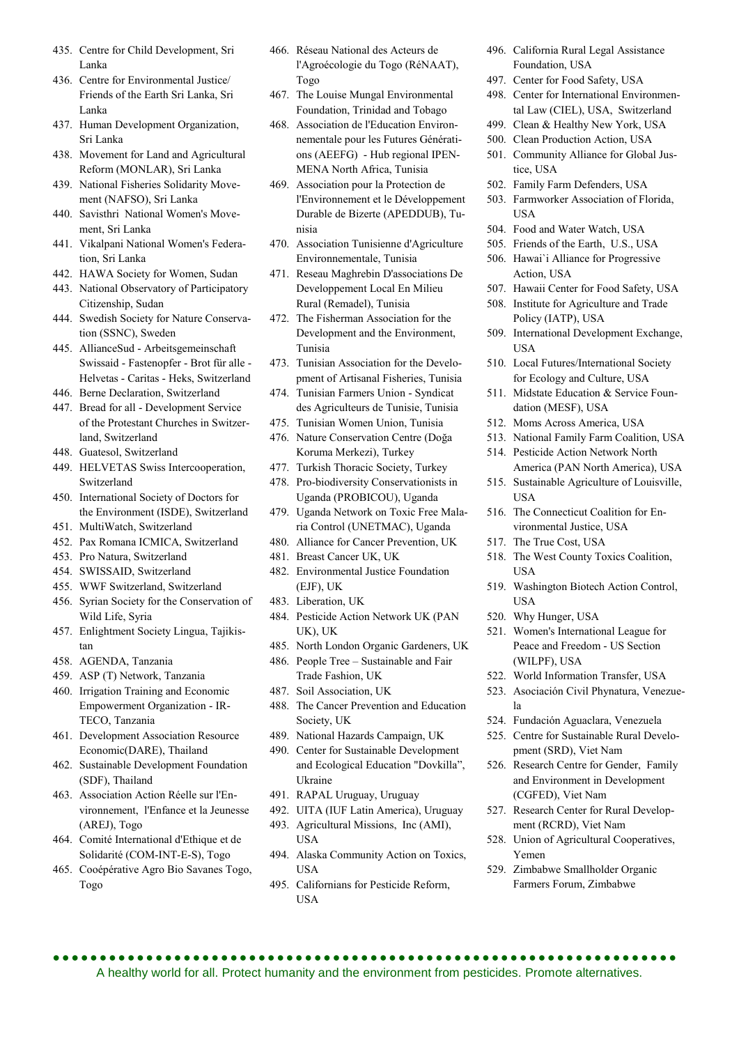- 435. Centre for Child Development, Sri Lanka
- 436. Centre for Environmental Justice/ Friends of the Earth Sri Lanka, Sri Lanka
- 437. Human Development Organization, Sri Lanka
- 438. Movement for Land and Agricultural Reform (MONLAR), Sri Lanka
- 439. National Fisheries Solidarity Movement (NAFSO), Sri Lanka
- 440. Savisthri National Women's Movement, Sri Lanka
- 441. Vikalpani National Women's Federation, Sri Lanka
- 442. HAWA Society for Women, Sudan
- 443. National Observatory of Participatory Citizenship, Sudan
- 444. Swedish Society for Nature Conservation (SSNC), Sweden
- 445. AllianceSud Arbeitsgemeinschaft Swissaid - Fastenopfer - Brot für alle - Helvetas - Caritas - Heks, Switzerland
- 446. Berne Declaration, Switzerland
- 447. Bread for all Development Service of the Protestant Churches in Switzerland, Switzerland
- 448. Guatesol, Switzerland
- 449. HELVETAS Swiss Intercooperation, Switzerland
- 450. International Society of Doctors for the Environment (ISDE), Switzerland
- 451. MultiWatch, Switzerland
- 452. Pax Romana ICMICA, Switzerland
- 453. Pro Natura, Switzerland
- 454. SWISSAID, Switzerland
- 455. WWF Switzerland, Switzerland
- 456. Syrian Society for the Conservation of Wild Life, Syria
- 457. Enlightment Society Lingua, Tajikistan
- 458. AGENDA, Tanzania
- 459. ASP (T) Network, Tanzania
- 460. Irrigation Training and Economic Empowerment Organization - IR-TECO, Tanzania
- 461. Development Association Resource Economic(DARE), Thailand
- 462. Sustainable Development Foundation (SDF), Thailand
- 463. Association Action Réelle sur l'Environnement, l'Enfance et la Jeunesse (AREJ), Togo
- 464. Comité International d'Ethique et de Solidarité (COM-INT-E-S), Togo
- 465. Cooépérative Agro Bio Savanes Togo, Togo
- 466. Réseau National des Acteurs de l'Agroécologie du Togo (RéNAAT), Togo
- 467. The Louise Mungal Environmental Foundation, Trinidad and Tobago
- 468. Association de l'Education Environnementale pour les Futures Générations (AEEFG) - Hub regional IPEN-MENA North Africa, Tunisia
- 469. Association pour la Protection de l'Environnement et le Développement Durable de Bizerte (APEDDUB), Tunisia
- 470. Association Tunisienne d'Agriculture Environnementale, Tunisia
- 471. Reseau Maghrebin D'associations De Developpement Local En Milieu Rural (Remadel), Tunisia
- 472. The Fisherman Association for the Development and the Environment, Tunisia
- 473. Tunisian Association for the Development of Artisanal Fisheries, Tunisia
- 474. Tunisian Farmers Union Syndicat des Agriculteurs de Tunisie, Tunisia
- 475. Tunisian Women Union, Tunisia
- 476. Nature Conservation Centre (Doğa Koruma Merkezi), Turkey
- 477. Turkish Thoracic Society, Turkey
- 478. Pro-biodiversity Conservationists in Uganda (PROBICOU), Uganda
- 479. Uganda Network on Toxic Free Malaria Control (UNETMAC), Uganda
- 480. Alliance for Cancer Prevention, UK
- 481. Breast Cancer UK, UK
- 482. Environmental Justice Foundation (EJF), UK
- 483. Liberation, UK
- 484. Pesticide Action Network UK (PAN UK), UK
- 485. North London Organic Gardeners, UK 486. People Tree – Sustainable and Fair Trade Fashion, UK
- 487. Soil Association, UK
- 488. The Cancer Prevention and Education Society, UK
- 489. National Hazards Campaign, UK
- 490. Center for Sustainable Development and Ecological Education "Dovkilla", Ukraine
- 491. RAPAL Uruguay, Uruguay
- 492. UITA (IUF Latin America), Uruguay
- 493. Agricultural Missions, Inc (AMI), USA
- 494. Alaska Community Action on Toxics, USA
- 495. Californians for Pesticide Reform, USA
- 496. California Rural Legal Assistance Foundation, USA
- 497. Center for Food Safety, USA
- 498. Center for International Environmental Law (CIEL), USA, Switzerland
- 499. Clean & Healthy New York, USA
- 500. Clean Production Action, USA
- 501. Community Alliance for Global Justice, USA
- 502. Family Farm Defenders, USA
- 503. Farmworker Association of Florida, **USA**
- 504. Food and Water Watch, USA
- 505. Friends of the Earth, U.S., USA
- 506. Hawai`i Alliance for Progressive Action, USA
- 507. Hawaii Center for Food Safety, USA
- 508. Institute for Agriculture and Trade Policy (IATP), USA
- 509. International Development Exchange, **USA**
- 510. Local Futures/International Society for Ecology and Culture, USA
- 511. Midstate Education & Service Foundation (MESF), USA
- 512. Moms Across America, USA
- 513. National Family Farm Coalition, USA
- 514. Pesticide Action Network North America (PAN North America), USA
- 515. Sustainable Agriculture of Louisville, **USA**
- 516. The Connecticut Coalition for Environmental Justice, USA
- 517. The True Cost, USA
- 518. The West County Toxics Coalition, USA
- 519. Washington Biotech Action Control, **USA**
- 520. Why Hunger, USA
- 521. Women's International League for Peace and Freedom - US Section (WILPF), USA
- 522. World Information Transfer, USA
- 523. Asociación Civil Phynatura, Venezuela
- 524. Fundación Aguaclara, Venezuela
- 525. Centre for Sustainable Rural Development (SRD), Viet Nam
- 526. Research Centre for Gender, Family and Environment in Development (CGFED), Viet Nam
- 527. Research Center for Rural Development (RCRD), Viet Nam
- 528. Union of Agricultural Cooperatives, Yemen
- 529. Zimbabwe Smallholder Organic Farmers Forum, Zimbabwe

 A healthy world for all. Protect humanity and the environment from pesticides. Promote alternatives.